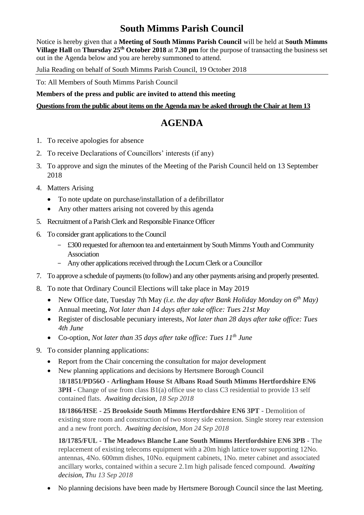## **South Mimms Parish Council**

Notice is hereby given that a **Meeting of South Mimms Parish Council** will be held at **South Mimms Village Hall** on **Thursday 25th October 2018** at **7.30 pm** for the purpose of transacting the business set out in the Agenda below and you are hereby summoned to attend.

Julia Reading on behalf of South Mimms Parish Council, 19 October 2018

To: All Members of South Mimms Parish Council

**Members of the press and public are invited to attend this meeting**

## **Questions from the public about items on the Agenda may be asked through the Chair at Item 13**

## **AGENDA**

- 1. To receive apologies for absence
- 2. To receive Declarations of Councillors' interests (if any)
- 3. To approve and sign the minutes of the Meeting of the Parish Council held on 13 September 2018
- 4. Matters Arising
	- To note update on purchase/installation of a defibrillator
	- Any other matters arising not covered by this agenda
- 5. Recruitment of a Parish Clerk and Responsible Finance Officer
- 6. To consider grant applications to the Council
	- £300 requested for afternoon tea and entertainment by South Mimms Youth and Community Association
	- Any other applications received through the Locum Clerk or a Councillor
- 7. To approve a schedule of payments (to follow) and any other payments arising and properly presented.
- 8. To note that Ordinary Council Elections will take place in May 2019
	- New Office date, Tuesday 7th May *(i.e. the day after Bank Holiday Monday on 6th May)*
	- Annual meeting, *Not later than 14 days after take office: Tues 21st May*
	- Register of disclosable pecuniary interests, *Not later than 28 days after take office: Tues 4th June*
	- Co-option, *Not later than 35 days after take office: Tues 11th June*
- 9. To consider planning applications:
	- Report from the Chair concerning the consultation for major development
	- New planning applications and decisions by Hertsmere Borough Council 1**8/1851/PD56O - Arlingham House St Albans Road South Mimms Hertfordshire EN6 3PH** - Change of use from class B1(a) office use to class C3 residential to provide 13 self contained flats. *Awaiting decision, 18 Sep 2018*

**18/1866/HSE - 25 Brookside South Mimms Hertfordshire EN6 3PT** - Demolition of existing store room and construction of two storey side extension. Single storey rear extension and a new front porch. *Awaiting decision, Mon 24 Sep 2018*

**18/1785/FUL - The Meadows Blanche Lane South Mimms Hertfordshire EN6 3PB** - The replacement of existing telecoms equipment with a 20m high lattice tower supporting 12No. antennas, 4No. 600mm dishes, 10No. equipment cabinets, 1No. meter cabinet and associated ancillary works, contained within a secure 2.1m high palisade fenced compound. *Awaiting decision, Thu 13 Sep 2018*

• No planning decisions have been made by Hertsmere Borough Council since the last Meeting.